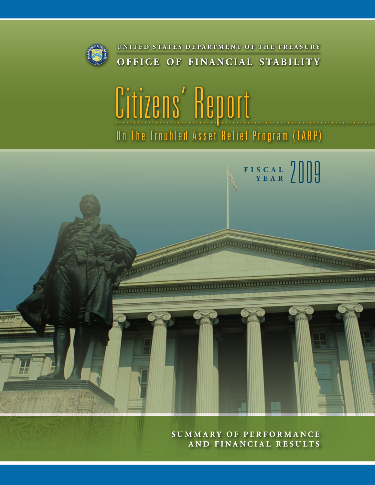

# Citizens' Report On The Troubled Asset Relief Program (TARP)



**Summ ary o f P erf o r m a n ce a nd F i n a n cial R es u lt s**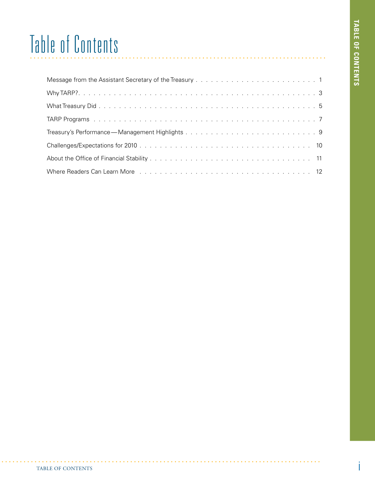## Table of Contents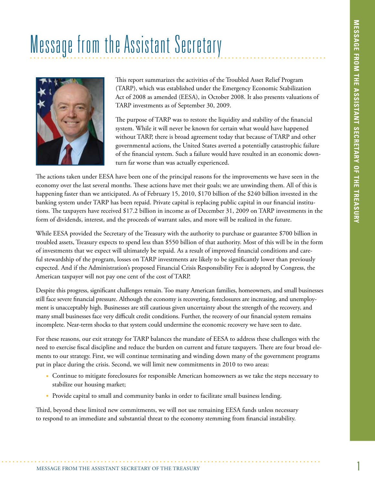## Message from the Assistant Secretary



This report summarizes the activities of the Troubled Asset Relief Program (TARP), which was established under the Emergency Economic Stabilization Act of 2008 as amended (EESA), in October 2008. It also presents valuations of TARP investments as of September 30, 2009.

The purpose of TARP was to restore the liquidity and stability of the financial system. While it will never be known for certain what would have happened without TARP, there is broad agreement today that because of TARP and other governmental actions, the United States averted a potentially catastrophic failure of the financial system. Such a failure would have resulted in an economic downturn far worse than was actually experienced.

The actions taken under EESA have been one of the principal reasons for the improvements we have seen in the economy over the last several months. These actions have met their goals; we are unwinding them. All of this is happening faster than we anticipated. As of February 15, 2010, \$170 billion of the \$240 billion invested in the banking system under TARP has been repaid. Private capital is replacing public capital in our financial institutions. The taxpayers have received \$17.2 billion in income as of December 31, 2009 on TARP investments in the form of dividends, interest, and the proceeds of warrant sales, and more will be realized in the future.

While EESA provided the Secretary of the Treasury with the authority to purchase or guarantee \$700 billion in troubled assets, Treasury expects to spend less than \$550 billion of that authority. Most of this will be in the form of investments that we expect will ultimately be repaid. As a result of improved financial conditions and careful stewardship of the program, losses on TARP investments are likely to be significantly lower than previously expected. And if the Administration's proposed Financial Crisis Responsibility Fee is adopted by Congress, the American taxpayer will not pay one cent of the cost of TARP.

Despite this progress, significant challenges remain. Too many American families, homeowners, and small businesses still face severe financial pressure. Although the economy is recovering, foreclosures are increasing, and unemployment is unacceptably high. Businesses are still cautious given uncertainty about the strength of the recovery, and many small businesses face very difficult credit conditions. Further, the recovery of our financial system remains incomplete. Near-term shocks to that system could undermine the economic recovery we have seen to date.

For these reasons, our exit strategy for TARP balances the mandate of EESA to address these challenges with the need to exercise fiscal discipline and reduce the burden on current and future taxpayers. There are four broad elements to our strategy. First, we will continue terminating and winding down many of the government programs put in place during the crisis. Second, we will limit new commitments in 2010 to two areas:

- • Continue to mitigate foreclosures for responsible American homeowners as we take the steps necessary to stabilize our housing market;
- Provide capital to small and community banks in order to facilitate small business lending.

Third, beyond these limited new commitments, we will not use remaining EESA funds unless necessary to respond to an immediate and substantial threat to the economy stemming from financial instability.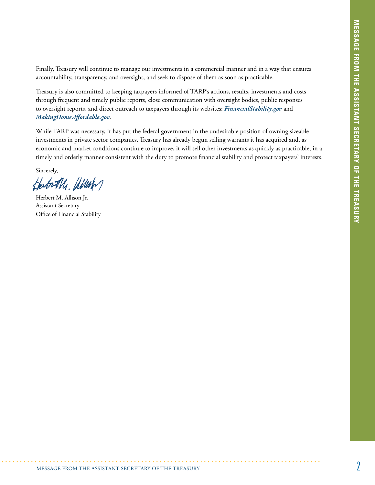Finally, Treasury will continue to manage our investments in a commercial manner and in a way that ensures accountability, transparency, and oversight, and seek to dispose of them as soon as practicable.

Treasury is also committed to keeping taxpayers informed of TARP's actions, results, investments and costs through frequent and timely public reports, close communication with oversight bodies, public responses to oversight reports, and direct outreach to taxpayers through its websites: *FinancialStability.gov* and *MakingHomeAffordable.gov*.

While TARP was necessary, it has put the federal government in the undesirable position of owning sizeable investments in private sector companies. Treasury has already begun selling warrants it has acquired and, as economic and market conditions continue to improve, it will sell other investments as quickly as practicable, in a timely and orderly manner consistent with the duty to promote financial stability and protect taxpayers' interests.

Sincerely,

Gerberth, allenter

Herbert M. Allison Jr. Assistant Secretary Office of Financial Stability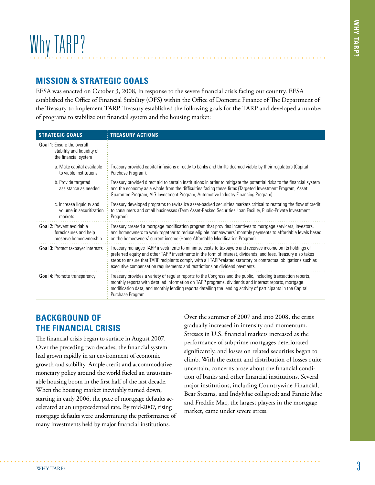#### **Mission & Strategic Goals**

EESA was enacted on October 3, 2008, in response to the severe financial crisis facing our country. EESA established the Office of Financial Stability (OFS) within the Office of Domestic Finance of The Department of the Treasury to implement TARP. Treasury established the following goals for the TARP and developed a number of programs to stabilize our financial system and the housing market:

| <b>STRATEGIC GOALS</b>                                                           | <b>TREASURY ACTIONS</b>                                                                                                                                                                                                                                                                                                                                                                                                  |
|----------------------------------------------------------------------------------|--------------------------------------------------------------------------------------------------------------------------------------------------------------------------------------------------------------------------------------------------------------------------------------------------------------------------------------------------------------------------------------------------------------------------|
| Goal 1: Ensure the overall<br>stability and liquidity of<br>the financial system |                                                                                                                                                                                                                                                                                                                                                                                                                          |
| a. Make capital available<br>to viable institutions                              | Treasury provided capital infusions directly to banks and thrifts deemed viable by their regulators (Capital<br>Purchase Program).                                                                                                                                                                                                                                                                                       |
| b. Provide targeted<br>assistance as needed                                      | Treasury provided direct aid to certain institutions in order to mitigate the potential risks to the financial system<br>and the economy as a whole from the difficulties facing these firms (Targeted Investment Program, Asset<br>Guarantee Program, AIG Investment Program, Automotive Industry Financing Program).                                                                                                   |
| c. Increase liquidity and<br>volume in securitization<br>markets                 | Treasury developed programs to revitalize asset-backed securities markets critical to restoring the flow of credit<br>to consumers and small businesses (Term Asset-Backed Securities Loan Facility, Public-Private Investment<br>Program).                                                                                                                                                                              |
| Goal 2: Prevent avoidable<br>foreclosures and help<br>preserve homeownership     | Treasury created a mortgage modification program that provides incentives to mortgage servicers, investors,<br>and homeowners to work together to reduce eligible homeowners' monthly payments to affordable levels based<br>on the homeowners' current income (Home Affordable Modification Program).                                                                                                                   |
| <b>Goal 3: Protect taxpayer interests</b>                                        | Treasury manages TARP investments to minimize costs to taxpayers and receives income on its holdings of<br>preferred equity and other TARP investments in the form of interest, dividends, and fees. Treasury also takes<br>steps to ensure that TARP recipients comply with all TARP-related statutory or contractual obligations such as<br>executive compensation requirements and restrictions on dividend payments. |
| Goal 4: Promote transparency                                                     | Treasury provides a variety of regular reports to the Congress and the public, including transaction reports,<br>monthly reports with detailed information on TARP programs, dividends and interest reports, mortgage<br>modification data, and monthly lending reports detailing the lending activity of participants in the Capital<br>Purchase Program.                                                               |

#### **Background of the Financial Crisis**

The financial crisis began to surface in August 2007. Over the preceding two decades, the financial system had grown rapidly in an environment of economic growth and stability. Ample credit and accommodative monetary policy around the world fueled an unsustainable housing boom in the first half of the last decade. When the housing market inevitably turned down, starting in early 2006, the pace of mortgage defaults accelerated at an unprecedented rate. By mid-2007, rising mortgage defaults were undermining the performance of many investments held by major financial institutions.

Over the summer of 2007 and into 2008, the crisis gradually increased in intensity and momentum. Stresses in U.S. financial markets increased as the performance of subprime mortgages deteriorated significantly, and losses on related securities began to climb. With the extent and distribution of losses quite uncertain, concerns arose about the financial condition of banks and other financial institutions. Several major institutions, including Countrywide Financial, Bear Stearns, and IndyMac collapsed; and Fannie Mae and Freddie Mac, the largest players in the mortgage market, came under severe stress.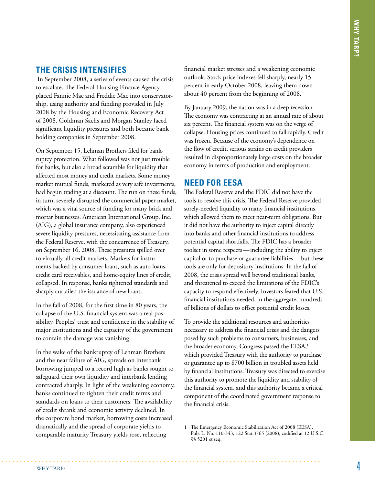#### **The Crisis Intensifies**

In September 2008, a series of events caused the crisis to escalate. The Federal Housing Finance Agency placed Fannie Mae and Freddie Mac into conservatorship, using authority and funding provided in July 2008 by the Housing and Economic Recovery Act of 2008. Goldman Sachs and Morgan Stanley faced significant liquidity pressures and both became bank holding companies in September 2008.

On September 15, Lehman Brothers filed for bankruptcy protection. What followed was not just trouble for banks, but also a broad scramble for liquidity that affected most money and credit markets. Some money market mutual funds, marketed as very safe investments, had begun trading at a discount. The run on these funds, in turn, severely disrupted the commercial paper market, which was a vital source of funding for many brick and mortar businesses. American International Group, Inc. (AIG), a global insurance company, also experienced severe liquidity pressures, necessitating assistance from the Federal Reserve, with the concurrence of Treasury, on September 16, 2008. These pressures spilled over to virtually all credit markets. Markets for instruments backed by consumer loans, such as auto loans, credit card receivables, and home-equity lines of credit, collapsed. In response, banks tightened standards and sharply curtailed the issuance of new loans.

In the fall of 2008, for the first time in 80 years, the collapse of the U.S. financial system was a real possibility. Peoples' trust and confidence in the stability of major institutions and the capacity of the government to contain the damage was vanishing.

In the wake of the bankruptcy of Lehman Brothers and the near failure of AIG, spreads on interbank borrowing jumped to a record high as banks sought to safeguard their own liquidity and interbank lending contracted sharply. In light of the weakening economy, banks continued to tighten their credit terms and standards on loans to their customers. The availability of credit shrank and economic activity declined. In the corporate bond market, borrowing costs increased dramatically and the spread of corporate yields to comparable maturity Treasury yields rose, reflecting

financial market stresses and a weakening economic outlook. Stock price indexes fell sharply, nearly 15 percent in early October 2008, leaving them down about 40 percent from the beginning of 2008.

By January 2009, the nation was in a deep recession. The economy was contracting at an annual rate of about six percent. The financial system was on the verge of collapse. Housing prices continued to fall rapidly. Credit was frozen. Because of the economy's dependence on the flow of credit, serious strains on credit providers resulted in disproportionately large costs on the broader economy in terms of production and employment.

#### **Need for EESA**

The Federal Reserve and the FDIC did not have the tools to resolve this crisis. The Federal Reserve provided sorely-needed liquidity to many financial institutions, which allowed them to meet near-term obligations. But it did not have the authority to inject capital directly into banks and other financial institutions to address potential capital shortfalls. The FDIC has a broader toolset in some respects—including the ability to inject capital or to purchase or guarantee liabilities—but these tools are only for depository institutions. In the fall of 2008, the crisis spread well beyond traditional banks, and threatened to exceed the limitations of the FDIC's capacity to respond effectively. Investors feared that U.S. financial institutions needed, in the aggregate, hundreds of billions of dollars to offset potential credit losses.

To provide the additional resources and authorities necessary to address the financial crisis and the dangers posed by such problems to consumers, businesses, and the broader economy, Congress passed the EESA, 1 which provided Treasury with the authority to purchase or guarantee up to \$700 billion in troubled assets held by financial institutions. Treasury was directed to exercise this authority to promote the liquidity and stability of the financial system, and this authority became a critical component of the coordinated government response to the financial crisis.

<sup>1</sup> The Emergency Economic Stabilization Act of 2008 (EESA), Pub. L. No. 110-343, 122 Stat.3765 (2008), codified at 12 U.S.C. §§ 5201 et seq.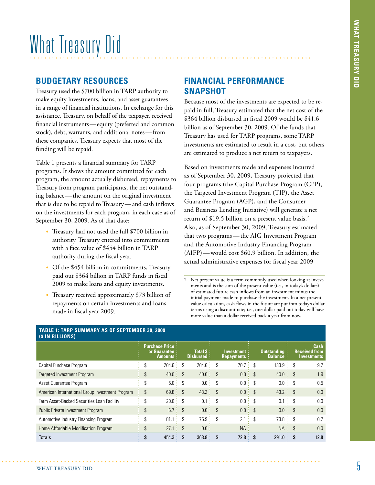## What Treasury Did

#### **Budgetary Resources**

Treasury used the \$700 billion in TARP authority to make equity investments, loans, and asset guarantees in a range of financial institutions. In exchange for this assistance, Treasury, on behalf of the taxpayer, received financial instruments—equity (preferred and common stock), debt, warrants, and additional notes—from these companies. Treasury expects that most of the funding will be repaid.

Table 1 presents a financial summary for TARP programs. It shows the amount committed for each program, the amount actually disbursed, repayments to Treasury from program participants, the net outstanding balance—the amount on the original investment that is due to be repaid to Treasury—and cash inflows on the investments for each program, in each case as of September 30, 2009. As of that date:

- • Treasury had not used the full \$700 billion in authority. Treasury entered into commitments with a face value of \$454 billion in TARP authority during the fiscal year.
- Of the \$454 billion in commitments, Treasury paid out \$364 billion in TARP funds in fiscal 2009 to make loans and equity investments.
- Treasury received approximately \$73 billion of repayments on certain investments and loans made in fiscal year 2009.

#### **Financial Performance Snapshot**

Because most of the investments are expected to be repaid in full, Treasury estimated that the net cost of the \$364 billion disbursed in fiscal 2009 would be \$41.6 billion as of September 30, 2009. Of the funds that Treasury has used for TARP programs, some TARP investments are estimated to result in a cost, but others are estimated to produce a net return to taxpayers.

Based on investments made and expenses incurred as of September 30, 2009, Treasury projected that four programs (the Capital Purchase Program (CPP), the Targeted Investment Program (TIP), the Asset Guarantee Program (AGP), and the Consumer and Business Lending Initiative) will generate a net return of \$19.5 billion on a present value basis.<sup>2</sup> Also, as of September 30, 2009, Treasury estimated that two programs—the AIG Investment Program and the Automotive Industry Financing Program (AIFP)—would cost \$60.9 billion. In addition, the actual administrative expenses for fiscal year 2009

<sup>2</sup> Net present value is a term commonly used when looking at investments and is the sum of the present value (i.e., in today's dollars) of estimated future cash inflows from an investment minus the initial payment made to purchase the investment. In a net present value calculation, cash flows in the future are put into today's dollar terms using a discount rate; i.e., one dollar paid out today will have more value than a dollar received back a year from now.

| (\$ IN BILLIONS)                                |                                                             |       |                                |           |                                    |                  |                                        |            |                                                           |      |  |
|-------------------------------------------------|-------------------------------------------------------------|-------|--------------------------------|-----------|------------------------------------|------------------|----------------------------------------|------------|-----------------------------------------------------------|------|--|
|                                                 | <b>Purchase Price:</b><br>or Guarantee:<br><b>Amounts</b> : |       | Total S:<br><b>Disbursed</b> : |           | Investment:<br><b>Repayments</b> : |                  | <b>Outstanding</b><br><b>Balance</b> : |            | <b>Cash</b><br><b>Received from</b><br><b>Investments</b> |      |  |
| Capital Purchase Program                        | \$                                                          | 204.6 | \$                             | 204.6:    | \$                                 | 70.7             | \$                                     | 133.9      | S                                                         | 9.7  |  |
| <b>Targeted Investment Program</b>              | \$                                                          | 40.0  | \$                             | 40.0<br>÷ | $\mathcal{S}$                      | 0.0:             | $\mathcal{S}$                          | 40.0       | $\mathcal{S}$                                             | 1.9  |  |
| Asset Guarantee Program                         | \$                                                          | 5.0   | S                              | 0.0       | S                                  | 0.0<br>$\bullet$ | \$                                     | 0.0        | S                                                         | 0.5  |  |
| American International Group Investment Program | \$                                                          | 69.8: | <sup>\$</sup>                  | 43.2:     | $\mathcal{S}$                      | 0.0 :            | $\mathcal{S}$                          | 43.2:      | $\mathcal{S}$                                             | 0.0  |  |
| Term Asset-Backed Securities Loan Facility      | \$                                                          | 20.0  | S                              | 0.1       | \$                                 | 0.0              | \$                                     | 0.1        | \$                                                        | 0.0  |  |
| Public Private Investment Program               | \$                                                          | 6.7:  | $\mathcal{S}$                  | 0.0<br>÷  | $\mathcal{S}$                      | 0.0 :            | $\mathcal{S}$                          | 0.0<br>- 1 | $\mathcal{S}$                                             | 0.0  |  |
| Automotive Industry Financing Program           | \$                                                          | 81.1  | \$                             | 75.9:     | \$                                 | 2.1<br>$\sim$    | \$                                     | 73.8:      | \$.                                                       | 0.7  |  |
| Home Affordable Modification Program            | \$                                                          | 27.1  | \$<br>÷.                       | 0.0:      |                                    | $NA$ :           |                                        | NA:        | $\mathcal{S}$                                             | 0.0  |  |
| <b>Totals</b>                                   |                                                             | 454.3 |                                | 363.8     |                                    | 72.8             | $\mathbf{\hat{s}}$                     | 291.0      | S                                                         | 12.8 |  |

### **Table 1: TARP Summary As of September 30, 2009**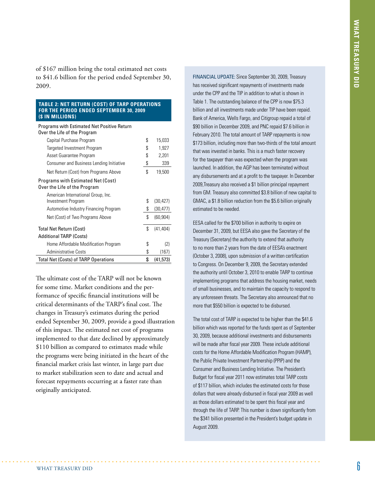of \$167 million bring the total estimated net costs to \$41.6 billion for the period ended September 30, 2009.

#### **Table 2: Net Return (Cost) of TARP Operations For the period ended September 30, 2009 (\$ in millions)**

Programs with Estimated Net Positive Return Over the Life of the Program

| Capital Purchase Program                    | \$<br>15,033    |
|---------------------------------------------|-----------------|
| Targeted Investment Program                 | \$<br>1,927     |
| Asset Guarantee Program                     | \$<br>2,201     |
| Consumer and Business Lending Initiative    | \$<br>339       |
| Net Return (Cost) from Programs Above       | \$<br>19,500    |
| <b>Programs with Estimated Net (Cost)</b>   |                 |
| Over the Life of the Program                |                 |
| American International Group, Inc.          |                 |
| Investment Program                          | \$<br>(30, 427) |
| Automotive Industry Financing Program       | \$<br>(30, 477) |
| Net (Cost) of Two Programs Above            | \$<br>(60, 904) |
| <b>Total Net Return (Cost)</b>              | \$<br>(41, 404) |
| <b>Additional TARP (Costs)</b>              |                 |
| Home Affordable Modification Program        | \$<br>(2)       |
| <b>Administrative Costs</b>                 | \$<br>(167)     |
| <b>Total Net (Costs) of TARP Operations</b> | \$<br>(41, 573) |

The ultimate cost of the TARP will not be known for some time. Market conditions and the performance of specific financial institutions will be critical determinants of the TARP's final cost. The changes in Treasury's estimates during the period ended September 30, 2009, provide a good illustration of this impact. The estimated net cost of programs implemented to that date declined by approximately \$110 billion as compared to estimates made while the programs were being initiated in the heart of the financial market crisis last winter, in large part due to market stabilization seen to date and actual and forecast repayments occurring at a faster rate than originally anticipated.

FINANCIAL UPDATE: Since September 30, 2009, Treasury has received significant repayments of investments made under the CPP and the TIP in addition to what is shown in Table 1. The outstanding balance of the CPP is now \$75.3 billion and all investments made under TIP have been repaid. Bank of America, Wells Fargo, and Citigroup repaid a total of \$90 billion in December 2009, and PNC repaid \$7.6 billion in February 2010. The total amount of TARP repayments is now \$173 billion, including more than two-thirds of the total amount that was invested in banks. This is a much faster recovery for the taxpayer than was expected when the program was launched. In addition, the AGP has been terminated without any disbursements and at a profit to the taxpayer. In December 2009,Treasury also received a \$1 billion principal repayment from GM. Treasury also committed \$3.8 billion of new capital to GMAC, a \$1.8 billion reduction from the \$5.6 billion originally estimated to be needed.

EESA called for the \$700 billion in authority to expire on December 31, 2009, but EESA also gave the Secretary of the Treasury (Secretary) the authority to extend that authority to no more than 2 years from the date of EESA's enactment (October 3, 2008), upon submission of a written certification to Congress. On December 9, 2009, the Secretary extended the authority until October 3, 2010 to enable TARP to continue implementing programs that address the housing market, needs of small businesses, and to maintain the capacity to respond to any unforeseen threats. The Secretary also announced that no more that \$550 billion is expected to be disbursed.

The total cost of TARP is expected to be higher than the \$41.6 billion which was reported for the funds spent as of September 30, 2009, because additional investments and disbursements will be made after fiscal year 2009. These include additional costs for the Home Affordable Modification Program (HAMP), the Public Private Investment Partnership (PPIP) and the Consumer and Business Lending Initiative. The President's Budget for fiscal year 2011 now estimates total TARP costs of \$117 billion, which includes the estimated costs for those dollars that were already disbursed in fiscal year 2009 as well as those dollars estimated to be spent this fiscal year and through the life of TARP. This number is down significantly from the \$341 billion presented in the President's budget update in August 2009.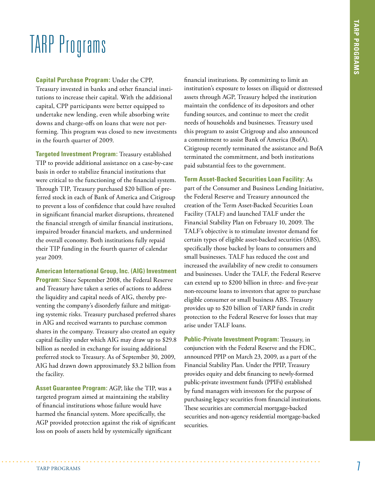### TARP Programs

**Capital Purchase Program:** Under the CPP,

Treasury invested in banks and other financial institutions to increase their capital. With the additional capital, CPP participants were better equipped to undertake new lending, even while absorbing write downs and charge-offs on loans that were not performing. This program was closed to new investments in the fourth quarter of 2009.

**Targeted Investment Program:** Treasury established TIP to provide additional assistance on a case-by-case basis in order to stabilize financial institutions that were critical to the functioning of the financial system. Through TIP, Treasury purchased \$20 billion of preferred stock in each of Bank of America and Citigroup to prevent a loss of confidence that could have resulted in significant financial market disruptions, threatened the financial strength of similar financial institutions, impaired broader financial markets, and undermined the overall economy. Both institutions fully repaid their TIP funding in the fourth quarter of calendar year 2009.

**American International Group, Inc. (AIG) Investment Program:** Since September 2008, the Federal Reserve and Treasury have taken a series of actions to address the liquidity and capital needs of AIG, thereby preventing the company's disorderly failure and mitigating systemic risks. Treasury purchased preferred shares in AIG and received warrants to purchase common shares in the company. Treasury also created an equity capital facility under which AIG may draw up to \$29.8 billion as needed in exchange for issuing additional preferred stock to Treasury. As of September 30, 2009, AIG had drawn down approximately \$3.2 billion from the facility.

**Asset Guarantee Program:** AGP, like the TIP, was a targeted program aimed at maintaining the stability of financial institutions whose failure would have harmed the financial system. More specifically, the AGP provided protection against the risk of significant loss on pools of assets held by systemically significant

financial institutions. By committing to limit an institution's exposure to losses on illiquid or distressed assets through AGP, Treasury helped the institution maintain the confidence of its depositors and other funding sources, and continue to meet the credit needs of households and businesses. Treasury used this program to assist Citigroup and also announced a commitment to assist Bank of America (BofA). Citigroup recently terminated the assistance and BofA terminated the commitment, and both institutions paid substantial fees to the government.

**Term Asset-Backed Securities Loan Facility:** As part of the Consumer and Business Lending Initiative, the Federal Reserve and Treasury announced the creation of the Term Asset-Backed Securities Loan Facility (TALF) and launched TALF under the Financial Stability Plan on February 10, 2009. The TALF's objective is to stimulate investor demand for certain types of eligible asset-backed securities (ABS), specifically those backed by loans to consumers and small businesses. TALF has reduced the cost and increased the availability of new credit to consumers and businesses. Under the TALF, the Federal Reserve can extend up to \$200 billion in three- and five-year non-recourse loans to investors that agree to purchase eligible consumer or small business ABS. Treasury provides up to \$20 billion of TARP funds in credit protection to the Federal Reserve for losses that may arise under TALF loans.

**Public-Private Investment Program:** Treasury, in conjunction with the Federal Reserve and the FDIC, announced PPIP on March 23, 2009, as a part of the Financial Stability Plan. Under the PPIP, Treasury provides equity and debt financing to newly-formed public-private investment funds (PPIFs) established by fund managers with investors for the purpose of purchasing legacy securities from financial institutions. These securities are commercial mortgage-backed securities and non-agency residential mortgage-backed securities.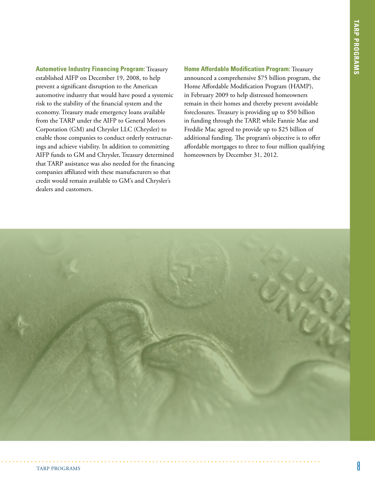**Automotive Industry Financing Program:** Treasury established AIFP on December 19, 2008, to help prevent a significant disruption to the American automotive industry that would have posed a systemic risk to the stability of the financial system and the economy. Treasury made emergency loans available from the TARP under the AIFP to General Motors Corporation (GM) and Chrysler LLC (Chrysler) to enable those companies to conduct orderly restructurings and achieve viability. In addition to committing AIFP funds to GM and Chrysler, Treasury determined that TARP assistance was also needed for the financing companies affiliated with these manufacturers so that credit would remain available to GM's and Chrysler's dealers and customers.

**Home Affordable Modification Program:** Treasury announced a comprehensive \$75 billion program, the Home Affordable Modification Program (HAMP), in February 2009 to help distressed homeowners remain in their homes and thereby prevent avoidable foreclosures. Treasury is providing up to \$50 billion in funding through the TARP, while Fannie Mae and Freddie Mac agreed to provide up to \$25 billion of additional funding. The program's objective is to offer affordable mortgages to three to four million qualifying homeowners by December 31, 2012.

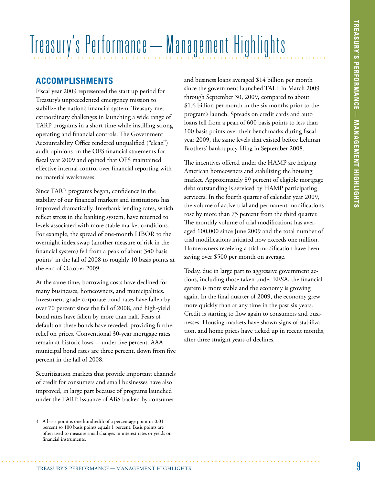# Treasury's Performance – Management Highlights

#### **Accomplishments**

Fiscal year 2009 represented the start up period for Treasury's unprecedented emergency mission to stabilize the nation's financial system. Treasury met extraordinary challenges in launching a wide range of TARP programs in a short time while instilling strong operating and financial controls. The Government Accountability Office rendered unqualified ("clean") audit opinions on the OFS financial statements for fiscal year 2009 and opined that OFS maintained effective internal control over financial reporting with no material weaknesses.

Since TARP programs began, confidence in the stability of our financial markets and institutions has improved dramatically. Interbank lending rates, which reflect stress in the banking system, have returned to levels associated with more stable market conditions. For example, the spread of one-month LIBOR to the overnight index swap (another measure of risk in the financial system) fell from a peak of about 340 basis points<sup>3</sup> in the fall of 2008 to roughly 10 basis points at the end of October 2009.

At the same time, borrowing costs have declined for many businesses, homeowners, and municipalities. Investment-grade corporate bond rates have fallen by over 70 percent since the fall of 2008, and high-yield bond rates have fallen by more than half. Fears of default on these bonds have receded, providing further relief on prices. Conventional 30-year mortgage rates remain at historic lows—under five percent. AAA municipal bond rates are three percent, down from five percent in the fall of 2008.

Securitization markets that provide important channels of credit for consumers and small businesses have also improved, in large part because of programs launched under the TARP. Issuance of ABS backed by consumer

and business loans averaged \$14 billion per month since the government launched TALF in March 2009 through September 30, 2009, compared to about \$1.6 billion per month in the six months prior to the program's launch. Spreads on credit cards and auto loans fell from a peak of 600 basis points to less than 100 basis points over their benchmarks during fiscal year 2009, the same levels that existed before Lehman Brothers' bankruptcy filing in September 2008.

The incentives offered under the HAMP are helping American homeowners and stabilizing the housing market. Approximately 89 percent of eligible mortgage debt outstanding is serviced by HAMP participating servicers. In the fourth quarter of calendar year 2009, the volume of active trial and permanent modifications rose by more than 75 percent from the third quarter. The monthly volume of trial modifications has averaged 100,000 since June 2009 and the total number of trial modifications initiated now exceeds one million. Homeowners receiving a trial modification have been saving over \$500 per month on average.

Today, due in large part to aggressive government actions, including those taken under EESA, the financial system is more stable and the economy is growing again. In the final quarter of 2009, the economy grew more quickly than at any time in the past six years. Credit is starting to flow again to consumers and businesses. Housing markets have shown signs of stabilization, and home prices have ticked up in recent months, after three straight years of declines.

<sup>3</sup> A basis point is one hundredth of a percentage point or 0.01 percent so 100 basis points equals 1 percent. Basis points are often used to measure small changes in interest rates or yields on financial instruments.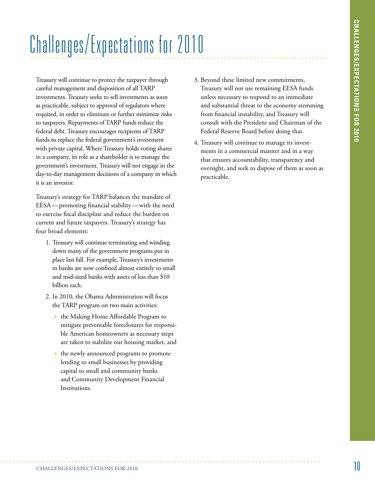## Challenges/Expectations for 2010

Treasury will continue to protect the taxpayer through careful management and disposition of all TARP investments. Treasury seeks to sell investments as soon as practicable, subject to approval of regulators where required, in order to eliminate or further minimize risks to taxpayers. Repayments of TARP funds reduce the federal debt. Treasury encourages recipients of TARP funds to replace the federal government's investment with private capital. Where Treasury holds voting shares in a company, its role as a shareholder is to manage the government's investment. Treasury will not engage in the day-to-day management decisions of a company in which it is an investor.

Treasury's strategy for TARP balances the mandate of EESA —promoting financial stability—with the need to exercise fiscal discipline and reduce the burden on current and future taxpayers. Treasury's strategy has four broad elements:

- 1. Treasury will continue terminating and winding down many of the government programs put in place last fall. For example, Treasury's investments in banks are now confined almost entirely to small and mid-sized banks with assets of less than \$10 billion each.
- 2. In 2010, the Obama Administration will focus the TARP program on two main activities:
	- the Making Home Affordable Program to mitigate preventable foreclosures for responsible American homeowners as necessary steps are taken to stabilize our housing market, and
	- the newly announced programs to promote lending to small businesses by providing capital to small and community banks and Community Development Financial Institutions.
- 3. Beyond these limited new commitments, Treasury will not use remaining EESA funds unless necessary to respond to an immediate and substantial threat to the economy stemming from financial instability, and Treasury will consult with the President and Chairman of the Federal Reserve Board before doing that.
- 4. Treasury will continue to manage its investments in a commercial manner and in a way that ensures accountability, transparency and oversight, and seek to dispose of them as soon as practicable.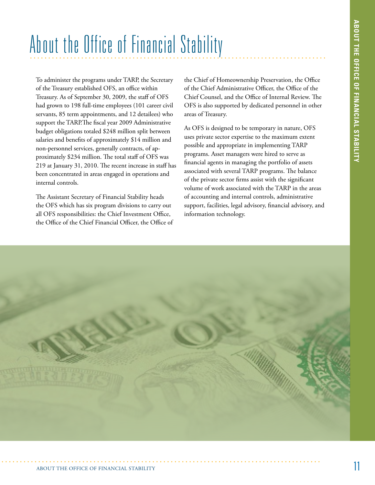### About the Office of Financial Stability

To administer the programs under TARP, the Secretary of the Treasury established OFS, an office within Treasury. As of September 30, 2009, the staff of OFS had grown to 198 full-time employees (101 career civil servants, 85 term appointments, and 12 detailees) who support the TARP.The fiscal year 2009 Administrative budget obligations totaled \$248 million split between salaries and benefits of approximately \$14 million and non-personnel services, generally contracts, of approximately \$234 million. The total staff of OFS was 219 at January 31, 2010. The recent increase in staff has been concentrated in areas engaged in operations and internal controls.

The Assistant Secretary of Financial Stability heads the OFS which has six program divisions to carry out all OFS responsibilities: the Chief Investment Office, the Office of the Chief Financial Officer, the Office of

the Chief of Homeownership Preservation, the Office of the Chief Administrative Officer, the Office of the Chief Counsel, and the Office of Internal Review. The OFS is also supported by dedicated personnel in other areas of Treasury.

As OFS is designed to be temporary in nature, OFS uses private sector expertise to the maximum extent possible and appropriate in implementing TARP programs. Asset managers were hired to serve as financial agents in managing the portfolio of assets associated with several TARP programs. The balance of the private sector firms assist with the significant volume of work associated with the TARP in the areas of accounting and internal controls, administrative support, facilities, legal advisory, financial advisory, and information technology.